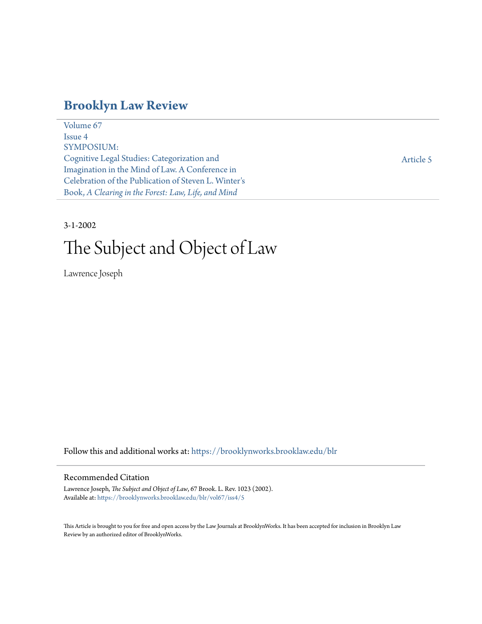# **[Brooklyn Law Review](https://brooklynworks.brooklaw.edu/blr?utm_source=brooklynworks.brooklaw.edu%2Fblr%2Fvol67%2Fiss4%2F5&utm_medium=PDF&utm_campaign=PDFCoverPages)**

[Volume 67](https://brooklynworks.brooklaw.edu/blr/vol67?utm_source=brooklynworks.brooklaw.edu%2Fblr%2Fvol67%2Fiss4%2F5&utm_medium=PDF&utm_campaign=PDFCoverPages) [Issue 4](https://brooklynworks.brooklaw.edu/blr/vol67/iss4?utm_source=brooklynworks.brooklaw.edu%2Fblr%2Fvol67%2Fiss4%2F5&utm_medium=PDF&utm_campaign=PDFCoverPages) SYMPOSIUM: Cognitive Legal Studies: Categorization and Imagination in the Mind of Law. A Conference in Celebration of the Publication of Steven L. Winter's Book, *A Clearing in the Forest: Law, Life, and Mind*

[Article 5](https://brooklynworks.brooklaw.edu/blr/vol67/iss4/5?utm_source=brooklynworks.brooklaw.edu%2Fblr%2Fvol67%2Fiss4%2F5&utm_medium=PDF&utm_campaign=PDFCoverPages)

# 3-1-2002

# The Subject and Object of Law

Lawrence Joseph

Follow this and additional works at: [https://brooklynworks.brooklaw.edu/blr](https://brooklynworks.brooklaw.edu/blr?utm_source=brooklynworks.brooklaw.edu%2Fblr%2Fvol67%2Fiss4%2F5&utm_medium=PDF&utm_campaign=PDFCoverPages)

#### Recommended Citation

Lawrence Joseph, *The Subject and Object of Law*, 67 Brook. L. Rev. 1023 (2002). Available at: [https://brooklynworks.brooklaw.edu/blr/vol67/iss4/5](https://brooklynworks.brooklaw.edu/blr/vol67/iss4/5?utm_source=brooklynworks.brooklaw.edu%2Fblr%2Fvol67%2Fiss4%2F5&utm_medium=PDF&utm_campaign=PDFCoverPages)

This Article is brought to you for free and open access by the Law Journals at BrooklynWorks. It has been accepted for inclusion in Brooklyn Law Review by an authorized editor of BrooklynWorks.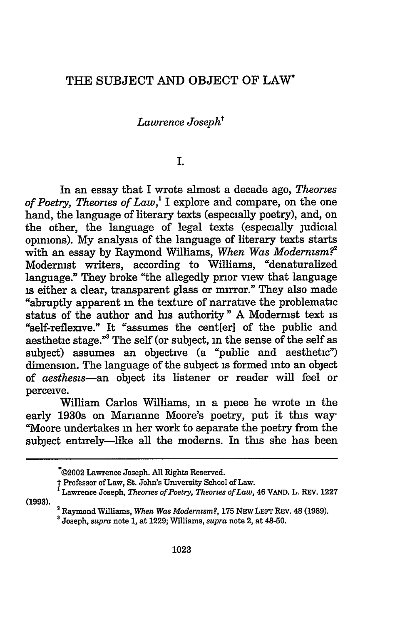# THE SUBJECT AND OBJECT OF LAW\*

# *Lawrence Josepht*

#### **I.**

In an essay that I wrote almost a decade ago, *Theories of Poetry, Theories of Law,'* I explore and compare, on the one hand, the language of literary texts (especially poetry), and, on the other, the language of legal texts (especially judicial opinions). **My** analysis of the language of literary texts starts with an essay **by** Raymond Williams, *When Was Modernism?'* Modernist writers, according to Williams, "denaturalized language." They broke "the allegedly prior view that language is either a clear, transparent glass or mirror." They also made "abruptly apparent **in** the texture of narrative the problematic status of the author and his authority" **A** Modernist text is "self-reflexive." It "assumes the cent[er] of the public and aesthetic stage."<sup>3</sup> The self (or subject, in the sense of the self as subject) assumes an objective (a "public and aesthetic") dimension. The language of the subject is formed into an object of *aestheszs-an* object its listener or reader will feel or perceive.

William Carlos Williams, in a piece he wrote **in** the early 1930s on Marianne Moore's poetry, put it this way-"Moore undertakes in her work to separate the poetry from the subject entirely-like all the moderns. In this she has been

**(1993).**

<sup>\*@2002</sup> Lawrence Joseph. **All** Rights Reserved.

<sup>t</sup><sup>1</sup> Professor of Law, St. John's Umversity School of Law. Lawrence Joseph, *Theories of Poetry, Theories of Law,* 46 **VAND.** L. REV. **<sup>1227</sup>**

<sup>2</sup>Raymond Williams, *When Was Modernism?,* **175** NEW LEFT REV. 48 **(1989).**

**<sup>3</sup>**Joseph, *supra* note 1, at 1229; Williams, *supra* note 2, at 48-50.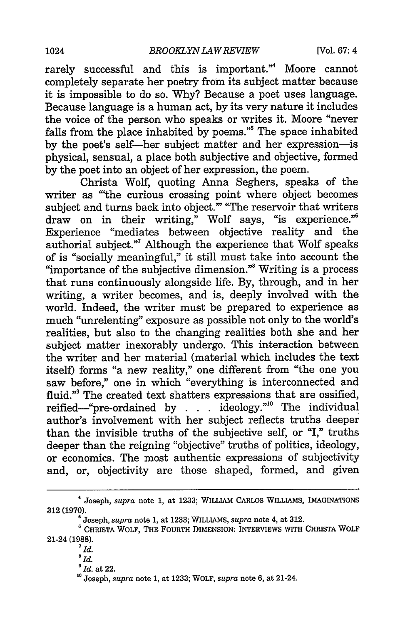rarely successful and this is important." Moore cannot completely separate her poetry from its subject matter because it is impossible to do so. Why? Because a poet uses language. Because language is a human act, by its very nature it includes the voice of the person who speaks or writes it. Moore "never falls from the place inhabited by poems."5 The space inhabited by the poet's self-her subject matter and her expression-is physical, sensual, a place both subjective and objective, formed by the poet into an object of her expression, the poem.

Christa Wolf, quoting Anna Seghers, speaks of the writer as "'the curious crossing point where object becomes subject and turns back into object." "The reservoir that writers draw on in their writing," Wolf says, "is experience."<sup>6</sup> Experience "mediates between objective reality and the authorial subject."<sup>7</sup> Although the experience that Wolf speaks of is "socially meaningful," it still must take into account the "importance of the subjective dimension."8 Writing is a process that runs continuously alongside life. By, through, and in her writing, a writer becomes, and is, deeply involved with the world. Indeed, the writer must be prepared to experience as much "unrelenting" exposure as possible not only to the world's realities, but also to the changing realities both she and her subject matter inexorably undergo. This interaction between the writer and her material (material which includes the text itself) forms "a new reality," one different from "the one you saw before," one in which "everything is interconnected and fluid."<sup>9</sup> The created text shatters expressions that are ossified, reified--"pre-ordained by **. . .** ideology."" The individual author's involvement with her subject reflects truths deeper than the invisible truths of the subjective self, or "I," truths deeper than the reigning "objective" truths of politics, ideology, or economics. The most authentic expressions of subjectivity and, or, objectivity are those shaped, formed, and given

<sup>4</sup> Joseph, *supra* note **1,** at **1233;** WILLIAM CARLOS WILLIAMS, IMAGINATIONS 312 (1970).

<sup>&#</sup>x27;Joseph, *supra* note 1, at **1233;** WILLIAMS, *supra* note 4, at 312.

<sup>&#</sup>x27;CHRISTA WOLF, **THE** FOURTH **DIMENSION:** INTERVIEWS WITH CHRISTA WOLF 21-24 **(1988).** *<sup>7</sup>Id.*

*<sup>&#</sup>x27;Id.*

*<sup>&#</sup>x27;Id.* at 22.

**<sup>&#</sup>x27;0** Joseph, *supra* note **1,** at 1233; WOLF, *supra* note 6, at 21-24.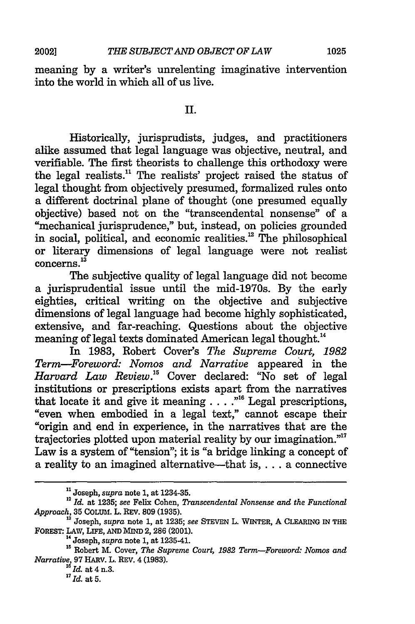meaning **by** a writer's unrelenting imaginative intervention into the world in which all of us live.

#### II.

Historically, jurisprudists, judges, and practitioners alike assumed that legal language was objective, neutral, and verifiable. The first theorists to challenge this orthodoxy were the legal realists.<sup>11</sup> The realists' project raised the status of legal thought from objectively presumed, formalized rules onto a different doctrinal plane of thought (one presumed equally objective) based not on the "transcendental nonsense" of a "mechanical jurisprudence," but, instead, on policies grounded in social, political, and economic realities.<sup>12</sup> The philosophical or literary dimensions of legal language were not realist concerns.<sup>13</sup>

The subjective quality of legal language did not become a jurisprudential issue until the mid-1970s. **By** the early eighties, critical writing on the objective and subjective dimensions of legal language had become **highly** sophisticated, extensive, and far-reaching. Questions about the objective meaning of legal texts dominated American legal thought.<sup>14</sup>

In **1983,** Robert Cover's *The Supreme Court, 1982 Term-Foreword: Nomos and Narrative* appeared in the *Harvard Law Review.*<sup>15</sup> Cover declared: "No set of legal institutions or prescriptions exists apart from the narratives that locate it and give it meaning . . . .<sup>"16</sup> Legal prescriptions, "even when embodied in a legal text," cannot escape their "origin and end in experience, in the narratives that are the trajectories plotted upon material reality by our imagination."" Law is a system of "tension"; it is "a bridge linking a concept of a reality to an imagined alternative-that is, . . . a connective

**<sup>&</sup>quot;** Joseph, *supra* note 1, at 1234-35. **<sup>12</sup>***Id.* at 1235; *see* Felix Cohen, *Transcendental Nonsense and the Functional Approach,* 35 COLUM. L. REv. 809 (1935). **<sup>13</sup>**Joseph, *supra* note 1, at **1235;** *see* STEVEN L. WINTER, A CLEARING **IN THE**

**FOREST: LAW,** LIFE, **AND** MIND 2, 286 (2001). 14 Joseph, *supra* note **1,** at 1235-41.

**<sup>1</sup>s** Robert M. Cover, *The Supreme Court, 1982 Term-Foreword: Nomos and Narratiue,* 97 HARV. L. REV. 4 (1983). *" Id.* at 4 n.3.

<sup>&</sup>lt;sup>17</sup>*Id.* at 5.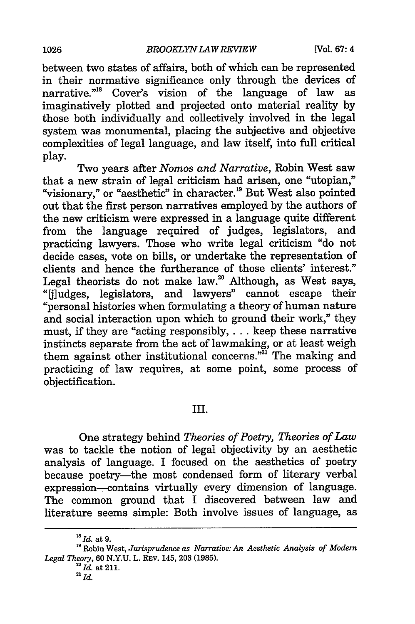between two states of affairs, both of which can be represented in their normative significance only through the devices of narrative."<sup>18</sup> Cover's vision of the language of law as imaginatively plotted and projected onto material reality by those both individually and collectively involved in the legal system was monumental, placing the subjective and objective complexities of legal language, and law itself, into full critical play.

Two years after *Nomos and Narrative,* Robin West saw that a new strain of legal criticism had arisen, one "utopian," "visionary," or "aesthetic" in character.<sup>19</sup> But West also pointed out that the first person narratives employed by the authors of the new criticism were expressed in a language quite different from the language required of judges, legislators, and practicing lawyers. Those who write legal criticism "do not decide cases, vote on bills, or undertake the representation of clients and hence the furtherance of those clients' interest." Legal theorists do not make law.<sup>20</sup> Although, as West says, "jiludges, legislators, and lawyers" cannot escape their "personal histories when formulating a theory of human nature and social interaction upon which to ground their work," they must, if they are "acting responsibly,.. **.** keep these narrative instincts separate from the act of lawmaking, or at least weigh them against other institutional concerns."<sup>21</sup> The making and practicing of law requires, at some point, some process of objectification.

## III.

One strategy behind *Theories of Poetry, Theories of Law* was to tackle the notion of legal objectivity by an aesthetic analysis of language. I focused on the aesthetics of poetry because poetry-the most condensed form of literary verbal expression--contains virtually every dimension of language. The common ground that I discovered between law and literature seems simple: Both involve issues of language, as

**<sup>18</sup>Id.** at 9.

**<sup>&#</sup>x27;9** Robin West, *Jurisprudence as Narrative: An Aesthetic Analysis of Modem Legal Theory,* 60 N.Y.U. L. REV. 145, 203 (1985).<br><sup>20</sup> Id. at 211.

**<sup>21</sup>** *Id.*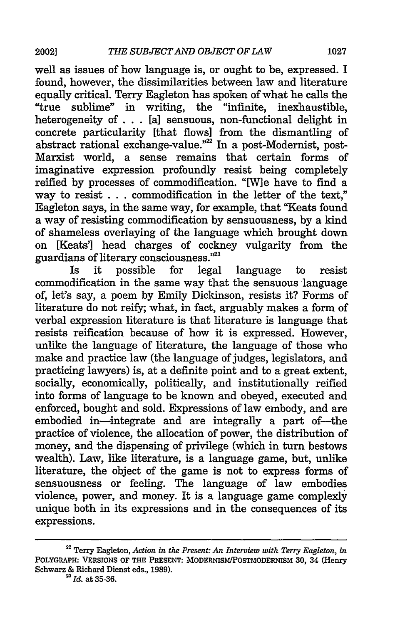well as issues of how language is, or ought to be, expressed. I found, however, the dissimilarities between law and literature equally critical. Terry Eagleton has spoken of what he calls the "true sublime" in writing, the "infinite, inexhaustible, heterogeneity of **.** . [a] sensuous, non-functional delight in concrete particularity [that flows] from the dismantling of abstract rational exchange-value."<sup>22</sup> In a post-Modernist, post-Marxist world, a sense remains that certain forms of imaginative expression profoundly resist being completely reified by processes of commodification. "[W]e have to find a way to resist . . . commodification in the letter of the text," Eagleton says, in the same way, for example, that "Keats found a way of resisting commodification by sensuousness, by a kind of shameless overlaying of the language which brought down on [Keats'] head charges of cockney vulgarity from the guardians of literary consciousness."2

Is it possible for legal language to resist commodification in the same way that the sensuous language of, let's say, a poem by Emily Dickinson, resists it? Forms of literature do not reify; what, in fact, arguably makes a form of verbal expression literature is that literature is language that resists reification because of how it is expressed. However, unlike the language of literature, the language of those who make and practice law (the language of judges, legislators, and practicing lawyers) is, at a definite point and to a great extent, socially, economically, politically, and institutionally reified into forms of language to be known and obeyed, executed and enforced, bought and sold. Expressions of law embody, and are embodied in—integrate and are integrally a part of—the practice of violence, the allocation of power, the distribution of money, and the dispensing of privilege (which in turn bestows wealth). Law, like literature, is a language game, but, unlike literature, the object of the game is not to express forms of sensuousness or feeling. The language of law embodies violence, power, and money. It is a language game complexly unique both in its expressions and in the consequences of its expressions.

Terry Eagleton, *Action in the Present: An Interview with Terry Eagleton, in* **POLYGRAPH: VERSIONS** OF **THE** PRESENT: MODERNISMIPOSTMODERNISM **30, 34** (Henry Schwarz & Richard Dienst eds., **1989).** *23Id.* at **35-36.**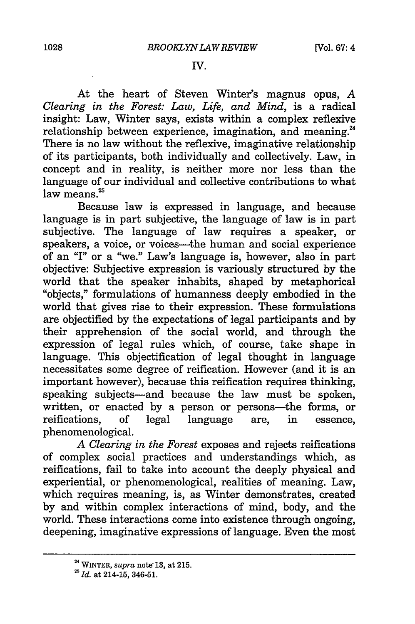#### **IV.**

At the heart of Steven Winter's magnus opus, *A Clearing in the Forest: Law, Life, and Mind,* is a radical insight: Law, Winter says, exists within a complex reflexive relationship between experience, imagination, and meaning.<sup>24</sup> There is no law without the reflexive, imaginative relationship of its participants, both individually and collectively. Law, in concept and in reality, is neither more nor less than the language of our individual and collective contributions to what  $law$  means. $25$ 

Because law is expressed in language, and because language is in part subjective, the language of law is in part subjective. The language of law requires a speaker, or speakers, a voice, or voices-the human and social experience of an "I" or a "we." Law's language is, however, also in part objective: Subjective expression is variously structured by the world that the speaker inhabits, shaped by metaphorical "objects," formulations of humanness deeply embodied in the world that gives rise to their expression. These formulations are objectified by the expectations of legal participants and by their apprehension of the social world, and through the expression of legal rules which, of course, take shape in language. This objectification of legal thought in language necessitates some degree of reification. However (and it is an important however), because this reification requires thinking, speaking subjects-and because the law must be spoken, written, or enacted by a person or persons—the forms, or reifications, of legal language are, in essence, phenomenological.

*A Clearing in the Forest* exposes and rejects reifications of complex social practices and understandings which, as reifications, fail to take into account the deeply physical and experiential, or phenomenological, realities of meaning. Law, which requires meaning, is, as Winter demonstrates, created by and within complex interactions of mind, body, and the world. These interactions come into existence through ongoing, deepening, imaginative expressions of language. Even the most

**<sup>24</sup>**WINTER, *supra* note, **13,** at **215.**

<sup>21</sup>*Id.* at 214-15, **346-51.**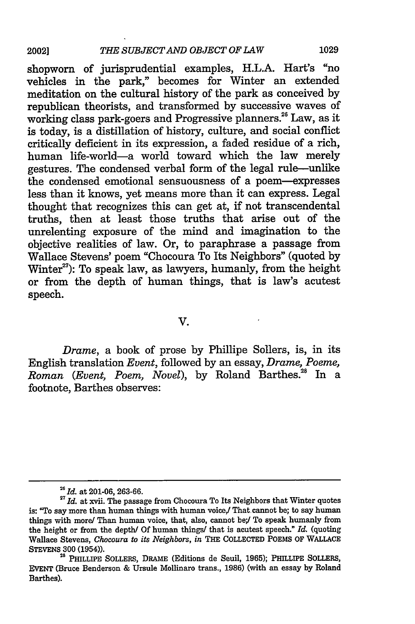shopworn of jurisprudential examples, H.L.A. Hart's "no vehicles in the park," becomes for Winter an extended meditation on the cultural history of the park as conceived by republican theorists, and transformed by successive waves of working class park-goers and Progressive planners.<sup>26</sup> Law, as it is today, is a distillation of history, culture, and social conflict critically deficient in its expression, a faded residue of a rich, human life-world-a world toward which the law merely gestures. The condensed verbal form of the legal rule-unlike the condensed emotional sensuousness of a poem-expresses less than it knows, yet means more than it can express. Legal thought that recognizes this can get at, if not transcendental truths, then at least those truths that arise out of the unrelenting exposure of the mind and imagination to the objective realities of law. Or, to paraphrase a passage from Wallace Stevens' poem "Chocoura To Its Neighbors" (quoted by Winter<sup>27</sup>): To speak law, as lawyers, humanly, from the height or from the depth of human things, that is law's acutest speech.

V.

*Drame,* a book of prose by Phillipe Sollers, is, in its English translation *Event,* followed by an essay, *Drame, Poeme, Roman (Event, Poem, Novel),* by Roland Barthes.28 In a footnote, Barthes observes:

*<sup>26</sup> Id.* at 201-06, 263-66.

<sup>&</sup>lt;sup>27</sup> Id. at xvii. The passage from Chocoura To Its Neighbors that Winter quotes is: "To say more than human things with human voice,/ That cannot be; to say human things with more/ Than human voice, that, also, cannot be;/ To speak humanly from the height or from the depth/ Of human things/ that is acutest speech." *Id.* (quoting Wallace Stevens, *Chocoura to its Neighbors, in* THE COLLECTED **POEMS** OF WALLACE STEVENS **300** (1954)).

<sup>&</sup>lt;sup>28</sup> PHILLIPE SOLLERS, DRAME (Editions de Seuil, 1965); PHILLIPE SOLLERS, EVENT (Bruce Benderson & Ursule Mollinaro trans., **1986)** (with an essay **by** Roland Barthes).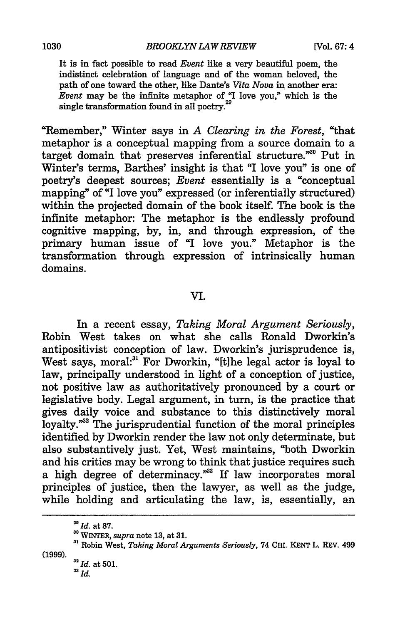It is in fact possible to read *Event* like a very beautiful poem, the indistinct celebration of language and of the woman beloved, the path of one toward the other, like Dante's *Vita Nova* in another era: *Event* may be the infinite metaphor of "I love you," which is the single transformation found in all poetry.<sup>29</sup>

"Remember," Winter says in *A Clearing in the Forest,* "that metaphor is a conceptual mapping from a source domain to a target domain that preserves inferential structure."<sup>30</sup> Put in Winter's terms, Barthes' insight is that "I love you" is one of poetry's deepest sources; *Event* essentially is a "conceptual mapping" of "I love you" expressed (or inferentially structured) within the projected domain of the book itself. The book is the infinite metaphor: The metaphor is the endlessly profound cognitive mapping, by, in, and through expression, of the primary human issue of "I love you." Metaphor is the transformation through expression of intrinsically human domains.

## VI.

In a recent essay, *Taking Moral Argument Seriously,* Robin West takes on what she calls Ronald Dworkin's antipositivist conception of law. Dworkin's jurisprudence is, West says, moral:<sup>31</sup> For Dworkin, "[t]he legal actor is loyal to law, principally understood in light of a conception of justice, not positive law as authoritatively pronounced by a court or legislative body. Legal argument, in turn, is the practice that gives daily voice and substance to this distinctively moral loyalty."<sup>32</sup> The jurisprudential function of the moral principles identified by Dworkin render the law not only determinate, but also substantively just. Yet, West maintains, "both Dworkin and his critics may be wrong to think that justice requires such a high degree of determinacy."33 If law incorporates moral principles of justice, then the lawyer, as well as the judge, while holding and articulating the law, is, essentially, an

<sup>29</sup> **Id.** at **87.**

**<sup>30</sup>**WINTER, *supra* note 13, at **31. <sup>31</sup>**Robin West, *Taking Moral Arguments Seriously,* 74 **CHI.** KENT L. REV. 499 (1999).

**<sup>(</sup> 2** *Id.* at 501.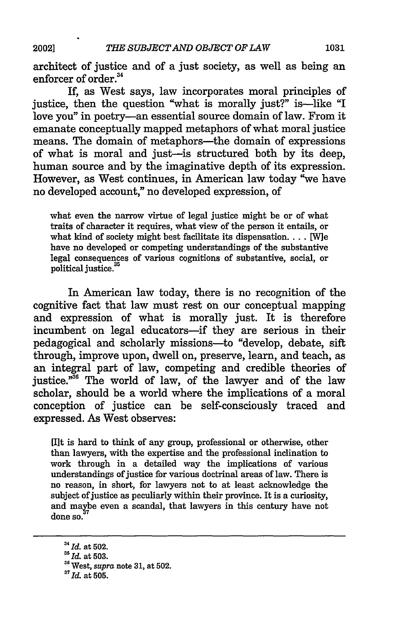2002]

architect of justice and of a just society, as well as being an enforcer of order.<sup>34</sup>

If, as West says, law incorporates moral principles of justice, then the question "what is morally just?" is-like "I love you" in poetry-an essential source domain of law. From it emanate conceptually mapped metaphors of what moral justice means. The domain of metaphors-the domain of expressions of what is moral and just-is structured both by its deep, human source and by the imaginative depth of its expression. However, as West continues, in American law today "we have no developed account," no developed expression, of

what even the narrow virtue of legal justice might be or of what traits of character it requires, what view of the person it entails, or what kind of society might best facilitate its dispensation.... [W]e have no developed or competing understandings of the substantive legal consequences of various cognitions of substantive, social, or political justice.<sup>35</sup>

In American law today, there is no recognition of the cognitive fact that law must rest on our conceptual mapping and expression of what is morally just. It is therefore incumbent on legal educators—if they are serious in their pedagogical and scholarly missions-to "develop, debate, sift through, improve upon, dwell on, preserve, learn, and teach, as an integral part of law, competing and credible theories of justice."<sup>36</sup> The world of law, of the lawyer and of the law scholar, should be a world where the implications of a moral conception of justice can be self-consciously traced and expressed. As West observes:

[Ilt is hard to think of any group, professional or otherwise, other than lawyers, with the expertise and the professional inclination to work through in a detailed way the implications of various understandings of justice for various doctrinal areas of law. There is no reason, in short, for lawyers not to at least acknowledge the subject of justice as peculiarly within their province. It is a curiosity, and maybe even a scandal, that lawyers in this century have not done so.

*<sup>3</sup> 4 Id.* at 502.

*<sup>5</sup>Id.* at 503.

<sup>&</sup>quot;West, *supra* note **31,** at 502.

*<sup>&</sup>quot;Id.* at 505.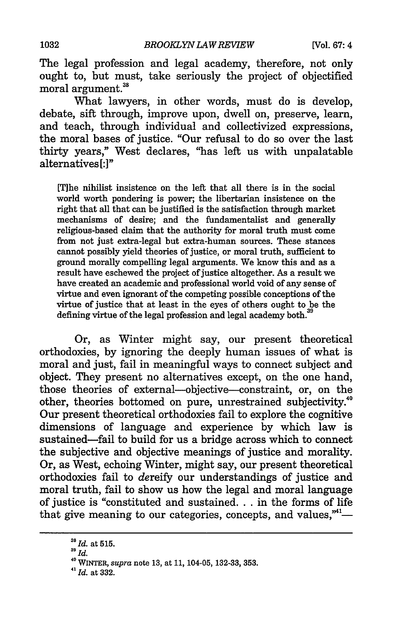The legal profession and legal academy, therefore, not only ought to, but must, take seriously the project of objectified moral argument.<sup>38</sup>

What lawyers, in other words, must do is develop, debate, sift through, improve upon, dwell on, preserve, learn, and teach, through individual and collectivized expressions, the moral bases of justice. "Our refusal to do so over the last thirty years," West declares, "has left us with unpalatable alternatives<sup>[:]"</sup>

[T]he nihilist insistence on the left that all there is in the social world worth pondering is power; the libertarian insistence on the right that all that can be justified is the satisfaction through market mechanisms of desire; and the fundamentalist and generally religious-based claim that the authority for moral truth must come from not just extra-legal but extra-human sources. These stances cannot possibly yield theories of justice, or moral truth, sufficient to ground morally compelling legal arguments. We know this and as a result have eschewed the project of justice altogether. As a result we have created an academic and professional world void of any sense of virtue and even ignorant of the competing possible conceptions of the virtue of justice that at least in the eyes of others ought to be the defining virtue of the legal profession and legal academy both. $\dot{\cdot}$ 

Or, as Winter might say, our present theoretical orthodoxies, by ignoring the deeply human issues of what is moral and just, fail in meaningful ways to connect subject and object. They present no alternatives except, on the one hand, those theories of external-objective--constraint, or, on the other, theories bottomed on pure, unrestrained subjectivity.<sup>40</sup> Our present theoretical orthodoxies fail to explore the cognitive dimensions of language and experience by which law is sustained-fail to build for us a bridge across which to connect the subjective and objective meanings of justice and morality. Or, as West, echoing Winter, might say, our present theoretical orthodoxies fail to dereify our understandings of justice and moral truth, fail to show us how the legal and moral language of justice is "constituted and sustained... in the forms of life that give meaning to our categories, concepts, and values, $"$ -

*<sup>3</sup>Id.* at **515.**

**<sup>39</sup>** *Id.*

**<sup>&#</sup>x27;0** WINTER, *supra* note **13,** at 11, 104-05, 132-33, 353. *<sup>41</sup>*

**Id.** at 332.